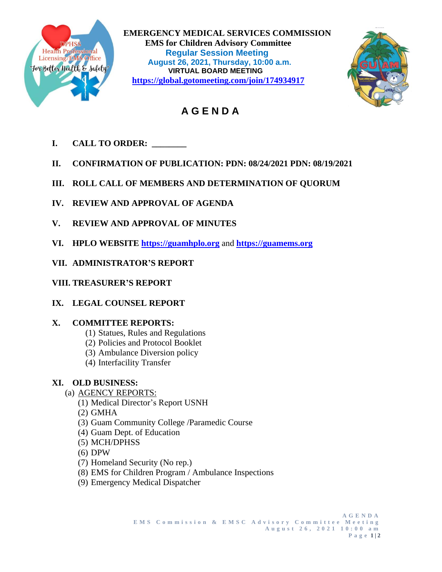

 **EMERGENCY MEDICAL SERVICES COMMISSION EMS for Children Advisory Committee<br>
Health Professional<br>
Licensing/EMS Office<br>
August 26, 2024, Thursday, 10:00.0 m Regular Session Meeting Extensingle Manufacture 4 and August 26, 2021, Thursday, 10:00 a.m.**<br> **August 26, 2021, Thursday, 10:00 a.m.**<br>
MIDTUAL BOARD MEETING **VIRTUAL BOARD MEETING https://global.gotomeeting.com/join/174934917**



# **A G E N D A**

- **I. CALL TO ORDER: \_\_\_\_\_\_\_\_**
- **II. CONFIRMATION OF PUBLICATION: PDN: 08/24/2021 PDN: 08/19/2021**
- **III. ROLL CALL OF MEMBERS AND DETERMINATION OF QUORUM**
- **IV. REVIEW AND APPROVAL OF AGENDA**
- **V. REVIEW AND APPROVAL OF MINUTES**
- **VI. HPLO WEBSITE [https://guamhplo.org](https://guamhplo.org/)** and **[https://guamems.org](https://guamems.org/)**
- **VII. ADMINISTRATOR'S REPORT**
- **VIII. TREASURER'S REPORT**
- **IX. LEGAL COUNSEL REPORT**

## **X. COMMITTEE REPORTS:**

- (1) Statues, Rules and Regulations
- (2) Policies and Protocol Booklet
- (3) Ambulance Diversion policy
- (4) Interfacility Transfer

## **XI. OLD BUSINESS:**

- (a) AGENCY REPORTS:
	- (1) Medical Director's Report USNH
	- (2) GMHA
	- (3) Guam Community College /Paramedic Course
	- (4) Guam Dept. of Education
	- (5) MCH/DPHSS
	- (6) DPW
	- (7) Homeland Security (No rep.)
	- (8) EMS for Children Program / Ambulance Inspections
	- (9) Emergency Medical Dispatcher